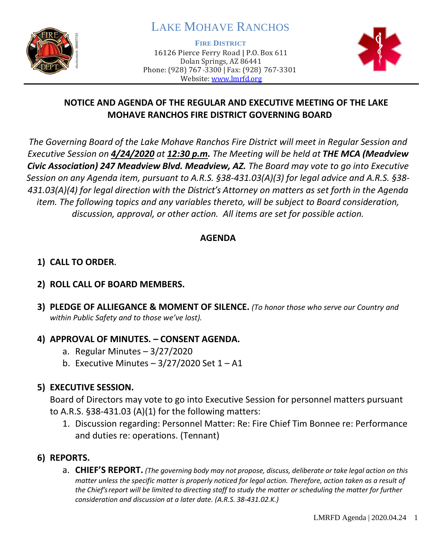

# LAKE MOHAVE RANCHOS

**FIRE DISTRICT**

16126 Pierce Ferry Road | P.O. Box 611 Dolan Springs, AZ 86441 Phone: (928) 767-3300 | Fax: (928) 767-3301 Website: [www.lmrfd.org](http://www.lmrfd.org/)



# **NOTICE AND AGENDA OF THE REGULAR AND EXECUTIVE MEETING OF THE LAKE MOHAVE RANCHOS FIRE DISTRICT GOVERNING BOARD**

*The Governing Board of the Lake Mohave Ranchos Fire District will meet in Regular Session and Executive Session on 4/24/2020 at 12:30 p.m. The Meeting will be held at THE MCA (Meadview Civic Association) 247 Meadview Blvd. Meadview, AZ. The Board may vote to go into Executive Session on any Agenda item, pursuant to A.R.S. §38-431.03(A)(3) for legal advice and A.R.S. §38- 431.03(A)(4) for legal direction with the District's Attorney on matters as set forth in the Agenda item. The following topics and any variables thereto, will be subject to Board consideration, discussion, approval, or other action. All items are set for possible action.* 

### **AGENDA**

# **1) CALL TO ORDER.**

## **2) ROLL CALL OF BOARD MEMBERS.**

**3) PLEDGE OF ALLIEGANCE & MOMENT OF SILENCE.** *(To honor those who serve our Country and within Public Safety and to those we've lost).*

#### **4) APPROVAL OF MINUTES. – CONSENT AGENDA.**

- a. Regular Minutes  $-3/27/2020$
- b. Executive Minutes  $-3/27/2020$  Set  $1 A1$

## **5) EXECUTIVE SESSION.**

Board of Directors may vote to go into Executive Session for personnel matters pursuant to A.R.S. §38-431.03 (A)(1) for the following matters:

1. Discussion regarding: Personnel Matter: Re: Fire Chief Tim Bonnee re: Performance and duties re: operations. (Tennant)

## **6) REPORTS.**

a. **CHIEF'S REPORT.** *(The governing body may not propose, discuss, deliberate or take legal action on this matter unless the specific matter is properly noticed for legal action. Therefore, action taken as a result of the Chief's report will be limited to directing staff to study the matter or scheduling the matter for further consideration and discussion at a later date. (A.R.S. 38-431.02.K.)*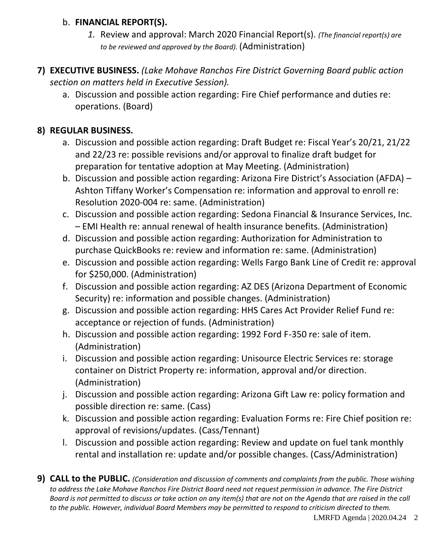### b. **FINANCIAL REPORT(S).**

- *1.* Review and approval: March 2020 Financial Report(s). *(The financial report(s) are to be reviewed and approved by the Board).* (Administration)
- **7) EXECUTIVE BUSINESS.** *(Lake Mohave Ranchos Fire District Governing Board public action section on matters held in Executive Session).*
	- a. Discussion and possible action regarding: Fire Chief performance and duties re: operations. (Board)

## **8) REGULAR BUSINESS.**

- a. Discussion and possible action regarding: Draft Budget re: Fiscal Year's 20/21, 21/22 and 22/23 re: possible revisions and/or approval to finalize draft budget for preparation for tentative adoption at May Meeting. (Administration)
- b. Discussion and possible action regarding: Arizona Fire District's Association (AFDA) Ashton Tiffany Worker's Compensation re: information and approval to enroll re: Resolution 2020-004 re: same. (Administration)
- c. Discussion and possible action regarding: Sedona Financial & Insurance Services, Inc. – EMI Health re: annual renewal of health insurance benefits. (Administration)
- d. Discussion and possible action regarding: Authorization for Administration to purchase QuickBooks re: review and information re: same. (Administration)
- e. Discussion and possible action regarding: Wells Fargo Bank Line of Credit re: approval for \$250,000. (Administration)
- f. Discussion and possible action regarding: AZ DES (Arizona Department of Economic Security) re: information and possible changes. (Administration)
- g. Discussion and possible action regarding: HHS Cares Act Provider Relief Fund re: acceptance or rejection of funds. (Administration)
- h. Discussion and possible action regarding: 1992 Ford F-350 re: sale of item. (Administration)
- i. Discussion and possible action regarding: Unisource Electric Services re: storage container on District Property re: information, approval and/or direction. (Administration)
- j. Discussion and possible action regarding: Arizona Gift Law re: policy formation and possible direction re: same. (Cass)
- k. Discussion and possible action regarding: Evaluation Forms re: Fire Chief position re: approval of revisions/updates. (Cass/Tennant)
- l. Discussion and possible action regarding: Review and update on fuel tank monthly rental and installation re: update and/or possible changes. (Cass/Administration)
- **9) CALL to the PUBLIC.** *(Consideration and discussion of comments and complaints from the public. Those wishing to address the Lake Mohave Ranchos Fire District Board need not request permission in advance. The Fire District Board is not permitted to discuss or take action on any item(s) that are not on the Agenda that are raised in the call to the public. However, individual Board Members may be permitted to respond to criticism directed to them.*